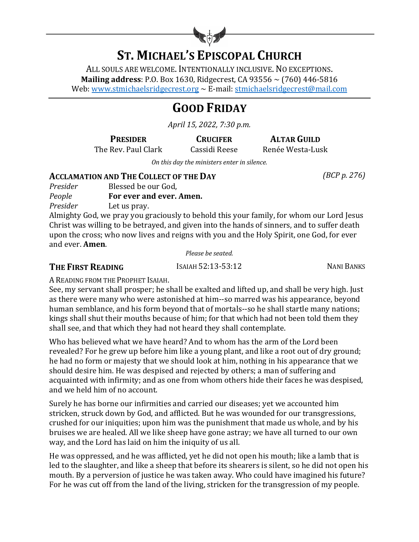

# **ST. MICHAEL'S EPISCOPAL CHURCH**

ALL SOULS ARE WELCOME. INTENTIONALLY INCLUSIVE. NO EXCEPTIONS. **Mailing address**: P.O. Box 1630, Ridgecrest, CA 93556  $\sim$  (760) 446-5816 Web: www.stmichaelsridgecrest.org  $\sim$  E-mail: stmichaelsridgecrest@mail.com

# **GOOD FRIDAY**

*April 15, 2022, 7:30 p.m.*

The Rev. Paul Clark Cassidi Reese Renée Westa-Lusk

**PRESIDER CRUCIFER ALTAR GUILD** 

*On this day the ministers enter in silence.* 

#### **ACCLAMATION AND THE COLLECT OF THE DAY** *(BCP p. 276)*

| Presider | Blessed be our God,      |
|----------|--------------------------|
| People   | For ever and ever. Amen. |
| Presider | Let us pray.             |

Almighty God, we pray you graciously to behold this your family, for whom our Lord Jesus Christ was willing to be betrayed, and given into the hands of sinners, and to suffer death upon the cross; who now lives and reigns with you and the Holy Spirit, one God, for ever and ever. **Amen**.

*Please be seated.*

### **THE FIRST READING ISAIAH 52:13-53:12 NANI BANKS**

A READING FROM THE PROPHET ISAIAH.

See, my servant shall prosper; he shall be exalted and lifted up, and shall be very high. Just as there were many who were astonished at him--so marred was his appearance, beyond human semblance, and his form beyond that of mortals--so he shall startle many nations; kings shall shut their mouths because of him; for that which had not been told them they shall see, and that which they had not heard they shall contemplate.

Who has believed what we have heard? And to whom has the arm of the Lord been revealed? For he grew up before him like a young plant, and like a root out of dry ground; he had no form or majesty that we should look at him, nothing in his appearance that we should desire him. He was despised and rejected by others; a man of suffering and acquainted with infirmity; and as one from whom others hide their faces he was despised, and we held him of no account.

Surely he has borne our infirmities and carried our diseases; yet we accounted him stricken, struck down by God, and afflicted. But he was wounded for our transgressions, crushed for our iniquities; upon him was the punishment that made us whole, and by his bruises we are healed. All we like sheep have gone astray; we have all turned to our own way, and the Lord has laid on him the iniquity of us all.

He was oppressed, and he was afflicted, yet he did not open his mouth; like a lamb that is led to the slaughter, and like a sheep that before its shearers is silent, so he did not open his mouth. By a perversion of justice he was taken away. Who could have imagined his future? For he was cut off from the land of the living, stricken for the transgression of my people.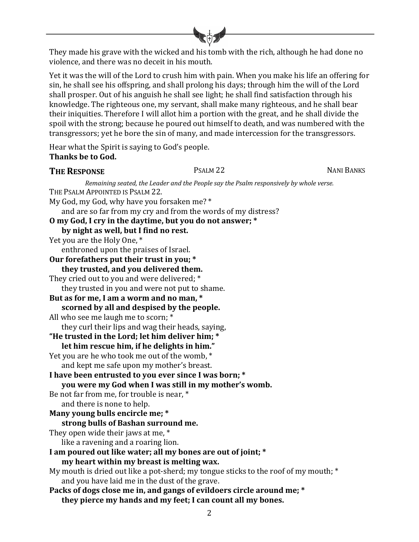They made his grave with the wicked and his tomb with the rich, although he had done no violence, and there was no deceit in his mouth.

Yet it was the will of the Lord to crush him with pain. When you make his life an offering for sin, he shall see his offspring, and shall prolong his days; through him the will of the Lord shall prosper. Out of his anguish he shall see light; he shall find satisfaction through his knowledge. The righteous one, my servant, shall make many righteous, and he shall bear their iniquities. Therefore I will allot him a portion with the great, and he shall divide the spoil with the strong; because he poured out himself to death, and was numbered with the transgressors; yet he bore the sin of many, and made intercession for the transgressors.

Hear what the Spirit is saying to God's people. **Thanks be to God.** 

#### **THE RESPONSE** PSALM 22 NANI BANKS

*Remaining seated, the Leader and the People say the Psalm responsively by whole verse.* THE PSALM APPOINTED IS PSALM 22. My God, my God, why have you forsaken me?  $*$ and are so far from my cry and from the words of my distress? **O** my God, I cry in the daytime, but you do not answer; \* by night as well, but I find no rest. Yet you are the Holy One, \* enthroned upon the praises of Israel. Our forefathers put their trust in you; \* **they trusted, and you delivered them.** They cried out to you and were delivered; \* they trusted in you and were not put to shame. But as for me, I am a worm and no man, \* scorned by all and despised by the people. All who see me laugh me to scorn; \* they curl their lips and wag their heads, saying, "He trusted in the Lord; let him deliver him; \* let him rescue him, if he delights in him." Yet you are he who took me out of the womb,  $*$ and kept me safe upon my mother's breast. I have been entrusted to you ever since I was born; \* **you** were my God when I was still in my mother's womb. Be not far from me, for trouble is near, \* and there is none to help. **Many young bulls encircle me;** \* strong bulls of Bashan surround me. They open wide their jaws at me,  $*$ like a ravening and a roaring lion. I am poured out like water; all my bones are out of joint; \* my heart within my breast is melting wax. My mouth is dried out like a pot-sherd; my tongue sticks to the roof of my mouth;  $*$ and you have laid me in the dust of the grave. Packs of dogs close me in, and gangs of evildoers circle around me; \* they pierce my hands and my feet; I can count all my bones.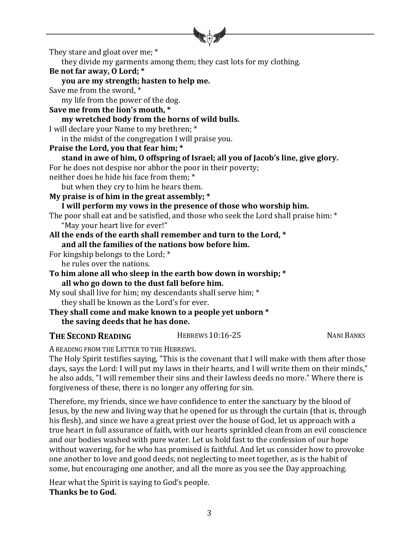

They stare and gloat over me; \*

they divide my garments among them; they cast lots for my clothing.

#### Be not far away, O Lord; \*

#### **you are my strength; hasten to help me.**

Save me from the sword, \*

my life from the power of the dog.

## Save me from the lion's mouth, \*

#### my wretched body from the horns of wild bulls.

I will declare your Name to my brethren; \*

in the midst of the congregation I will praise you.

### Praise the Lord, you that fear him; \*

```
stand in awe of him, O offspring of Israel; all you of Jacob's line, give glory.
```
For he does not despise nor abhor the poor in their poverty;

neither does he hide his face from them; \*

but when they cry to him he hears them.

My praise is of him in the great assembly; \*

#### I will perform my vows in the presence of those who worship him.

The poor shall eat and be satisfied, and those who seek the Lord shall praise him: \* "May your heart live for ever!"

#### All the ends of the earth shall remember and turn to the Lord, \* and all the families of the nations bow before him.

For kingship belongs to the Lord;  $*$ 

he rules over the nations.

#### To him alone all who sleep in the earth bow down in worship; \* all who go down to the dust fall before him.

- My soul shall live for him; my descendants shall serve him;  $*$ they shall be known as the Lord's for ever.
- They shall come and make known to a people yet unborn \* the saving deeds that he has done.

### **THE SECOND READING** HEBREWS 10:16-25 NANI BANKS

A READING FROM THE LETTER TO THE HEBREWS.

The Holy Spirit testifies saying, "This is the covenant that I will make with them after those days, says the Lord: I will put my laws in their hearts, and I will write them on their minds," he also adds, "I will remember their sins and their lawless deeds no more." Where there is forgiveness of these, there is no longer any offering for sin.

Therefore, my friends, since we have confidence to enter the sanctuary by the blood of Jesus, by the new and living way that he opened for us through the curtain (that is, through his flesh), and since we have a great priest over the house of God, let us approach with a true heart in full assurance of faith, with our hearts sprinkled clean from an evil conscience and our bodies washed with pure water. Let us hold fast to the confession of our hope without wavering, for he who has promised is faithful. And let us consider how to provoke one another to love and good deeds, not neglecting to meet together, as is the habit of some, but encouraging one another, and all the more as you see the Day approaching.

Hear what the Spirit is saying to God's people. Thanks be to God.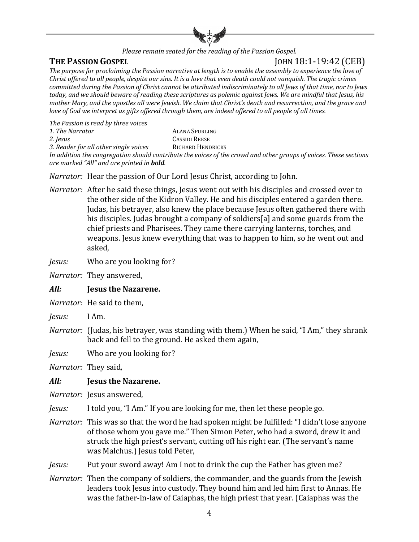

*Please remain seated for the reading of the Passion Gospel.* 

**THE PASSION GOSPEL** JOHN 18:1-19:42 (CEB)

The purpose for proclaiming the Passion narrative at length is to enable the assembly to experience the love of *Christ offered to all people, despite our sins. It is a love that even death could not vanquish. The tragic crimes committed during the Passion of Christ cannot be attributed indiscriminately to all Jews of that time, nor to Jews* today, and we should beware of reading these scriptures as polemic against Jews. We are mindful that Jesus, his *mother Mary, and the apostles all were Jewish. We claim that Christ's death and resurrection, and the grace and love* of God we interpret as gifts offered through them, are indeed offered to all people of all times.

*The Passion is read by three voices*

1. The Narrator **ALANA** SPURLING

**2.** *Jesus* CASSIDI REESE

3. Reader for all other single voices RICHARD HENDRICKS In addition the congregation should contribute the voices of the crowd and other groups of voices. These sections

*are marked "All" and are printed in bold.* 

*Narrator:* Hear the passion of Our Lord Jesus Christ, according to John.

*Narrator:* After he said these things, Jesus went out with his disciples and crossed over to the other side of the Kidron Valley. He and his disciples entered a garden there. Judas, his betrayer, also knew the place because Jesus often gathered there with his disciples. Judas brought a company of soldiers[a] and some guards from the chief priests and Pharisees. They came there carrying lanterns, torches, and weapons. Jesus knew everything that was to happen to him, so he went out and asked,

*Jesus:* Who are you looking for?

*Narrator:* They answered,

#### *All:* **Jesus the Nazarene.**

*Narrator:* He said to them.

- *Jesus:* I Am.
- *Narrator:* (Judas, his betrayer, was standing with them.) When he said, "I Am," they shrank back and fell to the ground. He asked them again,

*Jesus:* Who are you looking for?

*Narrator:* They said, 

#### All: **Jesus the Nazarene.**

*Narrator:* Jesus answered,

*Jesus:* I told you, "I Am." If you are looking for me, then let these people go.

*Narrator:* This was so that the word he had spoken might be fulfilled: "I didn't lose anyone of those whom you gave me." Then Simon Peter, who had a sword, drew it and struck the high priest's servant, cutting off his right ear. (The servant's name was Malchus.) Jesus told Peter,

*Jesus:* Put your sword away! Am I not to drink the cup the Father has given me?

*Narrator:* Then the company of soldiers, the commander, and the guards from the Jewish leaders took Jesus into custody. They bound him and led him first to Annas. He was the father-in-law of Caiaphas, the high priest that year. (Caiaphas was the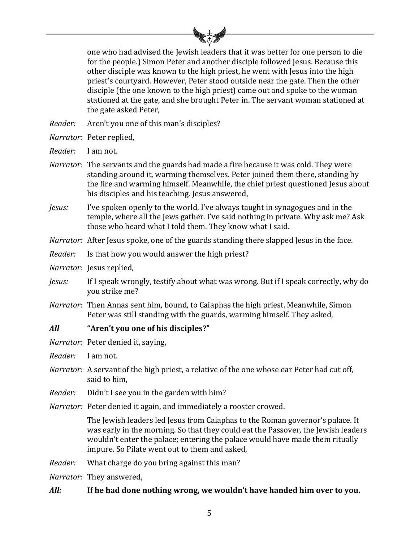

one who had advised the Jewish leaders that it was better for one person to die for the people.) Simon Peter and another disciple followed Jesus. Because this other disciple was known to the high priest, he went with Jesus into the high priest's courtyard. However, Peter stood outside near the gate. Then the other disciple (the one known to the high priest) came out and spoke to the woman stationed at the gate, and she brought Peter in. The servant woman stationed at the gate asked Peter.

- *Reader:* Aren't you one of this man's disciples?
- *Narrator:* Peter replied,
- *Reader:* I am not.
- *Narrator:* The servants and the guards had made a fire because it was cold. They were standing around it, warming themselves. Peter joined them there, standing by the fire and warming himself. Meanwhile, the chief priest questioned Jesus about his disciples and his teaching. Jesus answered,
- *Jesus:* I've spoken openly to the world. I've always taught in synagogues and in the temple, where all the Jews gather. I've said nothing in private. Why ask me? Ask those who heard what I told them. They know what I said.
- *Narrator:* After Jesus spoke, one of the guards standing there slapped Jesus in the face.
- *Reader:* Is that how you would answer the high priest?
- *Narrator:* Jesus replied,
- *Jesus:* If I speak wrongly, testify about what was wrong. But if I speak correctly, why do you strike me?
- *Narrator:* Then Annas sent him, bound, to Caiaphas the high priest. Meanwhile, Simon Peter was still standing with the guards, warming himself. They asked,
- All *"Aren't* **you one of his disciples?"**
- *Narrator:* Peter denied it, saying,
- *Reader:* I am not.
- *Narrator:* A servant of the high priest, a relative of the one whose ear Peter had cut off, said to him.
- *Reader:* Didn't I see you in the garden with him?
- *Narrator:* Peter denied it again, and immediately a rooster crowed.

The Jewish leaders led Jesus from Caiaphas to the Roman governor's palace. It was early in the morning. So that they could eat the Passover, the Jewish leaders wouldn't enter the palace; entering the palace would have made them ritually impure. So Pilate went out to them and asked,

- *Reader:* What charge do you bring against this man?
- *Narrator:* They answered,

#### All: If he had done nothing wrong, we wouldn't have handed him over to you.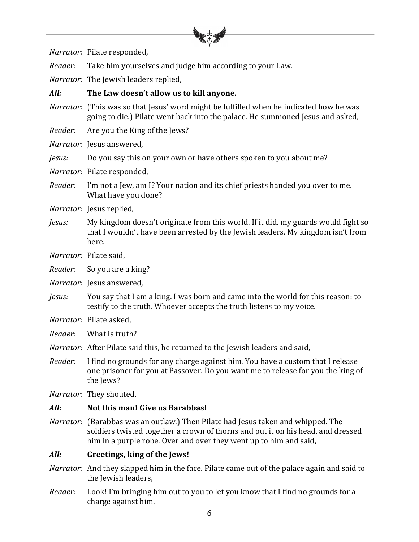

*Narrator:* Pilate responded,

*Reader:* Take him yourselves and judge him according to your Law.

*Narrator:* The Jewish leaders replied,

#### All: The Law doesn't allow us to kill anyone.

- *Narrator:* (This was so that Jesus' word might be fulfilled when he indicated how he was going to die.) Pilate went back into the palace. He summoned Jesus and asked,
- *Reader:* Are you the King of the Jews?

*Narrator:* Iesus answered.

- *Jesus:* Do you say this on your own or have others spoken to you about me?
- *Narrator:* Pilate responded,
- *Reader:* I'm not a Jew, am I? Your nation and its chief priests handed you over to me. What have you done?
- *Narrator:* Jesus replied,
- *Jesus:* My kingdom doesn't originate from this world. If it did, my guards would fight so that I wouldn't have been arrested by the Jewish leaders. My kingdom isn't from here.
- *Narrator:* Pilate said,
- *Reader:* So you are a king?
- *Narrator:* Jesus answered,
- *Jesus:* You say that I am a king. I was born and came into the world for this reason: to testify to the truth. Whoever accepts the truth listens to my voice.
- *Narrator:* Pilate asked,
- *Reader:* What is truth?
- *Narrator:* After Pilate said this, he returned to the Jewish leaders and said,
- *Reader:* I find no grounds for any charge against him. You have a custom that I release one prisoner for you at Passover. Do you want me to release for you the king of the Jews?
- *Narrator:* They shouted,

#### All: **Not this man!** Give us Barabbas!

*Narrator:* (Barabbas was an outlaw.) Then Pilate had Jesus taken and whipped. The soldiers twisted together a crown of thorns and put it on his head, and dressed him in a purple robe. Over and over they went up to him and said,

#### All: **Greetings, king of the Jews!**

- *Narrator:* And they slapped him in the face. Pilate came out of the palace again and said to the Jewish leaders,
- *Reader:* Look! I'm bringing him out to you to let you know that I find no grounds for a charge against him.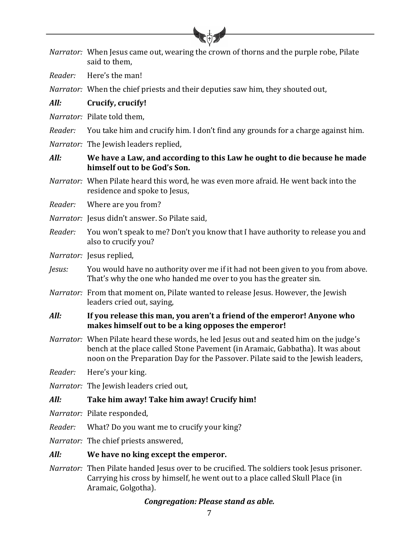|         | Narrator: When Jesus came out, wearing the crown of thorns and the purple robe, Pilate<br>said to them,                                                                                                                                                             |  |  |  |
|---------|---------------------------------------------------------------------------------------------------------------------------------------------------------------------------------------------------------------------------------------------------------------------|--|--|--|
| Reader: | Here's the man!                                                                                                                                                                                                                                                     |  |  |  |
|         | <i>Narrator:</i> When the chief priests and their deputies saw him, they shouted out,                                                                                                                                                                               |  |  |  |
| All:    | Crucify, crucify!                                                                                                                                                                                                                                                   |  |  |  |
|         | Narrator: Pilate told them,                                                                                                                                                                                                                                         |  |  |  |
| Reader: | You take him and crucify him. I don't find any grounds for a charge against him.                                                                                                                                                                                    |  |  |  |
|         | Narrator: The Jewish leaders replied,                                                                                                                                                                                                                               |  |  |  |
| All:    | We have a Law, and according to this Law he ought to die because he made<br>himself out to be God's Son.                                                                                                                                                            |  |  |  |
|         | Narrator: When Pilate heard this word, he was even more afraid. He went back into the<br>residence and spoke to Jesus,                                                                                                                                              |  |  |  |
| Reader: | Where are you from?                                                                                                                                                                                                                                                 |  |  |  |
|         | Narrator: Jesus didn't answer. So Pilate said,                                                                                                                                                                                                                      |  |  |  |
| Reader: | You won't speak to me? Don't you know that I have authority to release you and<br>also to crucify you?                                                                                                                                                              |  |  |  |
|         | Narrator: Jesus replied,                                                                                                                                                                                                                                            |  |  |  |
| Jesus:  | You would have no authority over me if it had not been given to you from above.<br>That's why the one who handed me over to you has the greater sin.                                                                                                                |  |  |  |
|         | Narrator: From that moment on, Pilate wanted to release Jesus. However, the Jewish<br>leaders cried out, saying,                                                                                                                                                    |  |  |  |
| All:    | If you release this man, you aren't a friend of the emperor! Anyone who<br>makes himself out to be a king opposes the emperor!                                                                                                                                      |  |  |  |
|         | <i>Narrator:</i> When Pilate heard these words, he led Jesus out and seated him on the judge's<br>bench at the place called Stone Pavement (in Aramaic, Gabbatha). It was about<br>noon on the Preparation Day for the Passover. Pilate said to the Jewish leaders, |  |  |  |
| Reader: | Here's your king.                                                                                                                                                                                                                                                   |  |  |  |
|         | <i>Narrator:</i> The Jewish leaders cried out,                                                                                                                                                                                                                      |  |  |  |
| All:    | Take him away! Take him away! Crucify him!                                                                                                                                                                                                                          |  |  |  |
|         | Narrator: Pilate responded,                                                                                                                                                                                                                                         |  |  |  |
| Reader: | What? Do you want me to crucify your king?                                                                                                                                                                                                                          |  |  |  |
|         | <i>Narrator:</i> The chief priests answered,                                                                                                                                                                                                                        |  |  |  |
| All:    | We have no king except the emperor.                                                                                                                                                                                                                                 |  |  |  |
|         | <i>Narrator:</i> Then Pilate handed Jesus over to be crucified. The soldiers took Jesus prisoner.<br>Carrying his cross by himself, he went out to a place called Skull Place (in<br>Aramaic, Golgotha).                                                            |  |  |  |

## *Congregation: Please stand as able.*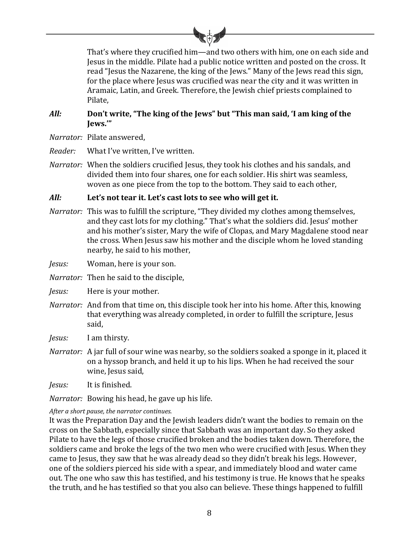

That's where they crucified him—and two others with him, one on each side and Jesus in the middle. Pilate had a public notice written and posted on the cross. It read "Jesus the Nazarene, the king of the Jews." Many of the Jews read this sign, for the place where Jesus was crucified was near the city and it was written in Aramaic, Latin, and Greek. Therefore, the Jewish chief priests complained to Pilate,

#### All: **Don't write, "The king of the Jews"** but "This man said, 'I am king of the **Jews.'"**

*Narrator:* Pilate answered, 

*Reader:* What I've written, I've written.

*Narrator:* When the soldiers crucified Jesus, they took his clothes and his sandals, and divided them into four shares, one for each soldier. His shirt was seamless, woven as one piece from the top to the bottom. They said to each other,

#### All: Let's not tear it. Let's cast lots to see who will get it.

*Narrator:* This was to fulfill the scripture, "They divided my clothes among themselves, and they cast lots for my clothing." That's what the soldiers did. Jesus' mother and his mother's sister. Mary the wife of Clopas, and Mary Magdalene stood near the cross. When Jesus saw his mother and the disciple whom he loved standing nearby, he said to his mother,

*Jesus:* Woman, here is your son.

*Narrator:* Then he said to the disciple,

*Jesus:* Here is your mother.

*Narrator:* And from that time on, this disciple took her into his home. After this, knowing that everything was already completed, in order to fulfill the scripture, Jesus said,

*Jesus:* I am thirsty.

- *Narrator:* A jar full of sour wine was nearby, so the soldiers soaked a sponge in it, placed it on a hyssop branch, and held it up to his lips. When he had received the sour wine, Jesus said,
- *Jesus:* It is finished.

*Narrator:* Bowing his head, he gave up his life.

#### After a short pause, the narrator continues.

It was the Preparation Day and the Jewish leaders didn't want the bodies to remain on the cross on the Sabbath, especially since that Sabbath was an important day. So they asked Pilate to have the legs of those crucified broken and the bodies taken down. Therefore, the soldiers came and broke the legs of the two men who were crucified with Jesus. When they came to Jesus, they saw that he was already dead so they didn't break his legs. However, one of the soldiers pierced his side with a spear, and immediately blood and water came out. The one who saw this has testified, and his testimony is true. He knows that he speaks the truth, and he has testified so that you also can believe. These things happened to fulfill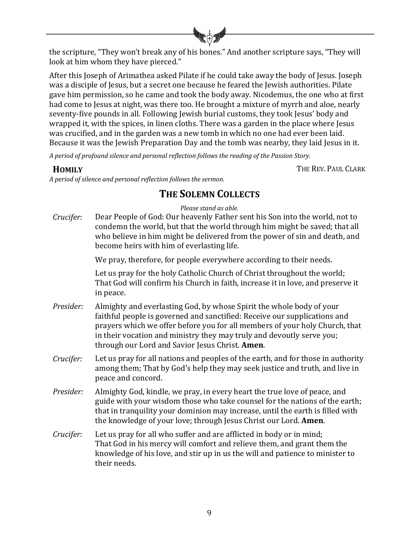

the scripture, "They won't break any of his bones." And another scripture says, "They will look at him whom they have pierced."

After this Joseph of Arimathea asked Pilate if he could take away the body of Jesus. Joseph was a disciple of Jesus, but a secret one because he feared the Jewish authorities. Pilate gave him permission, so he came and took the body away. Nicodemus, the one who at first had come to Jesus at night, was there too. He brought a mixture of myrrh and aloe, nearly seventy-five pounds in all. Following Jewish burial customs, they took Jesus' body and wrapped it, with the spices, in linen cloths. There was a garden in the place where Jesus was crucified, and in the garden was a new tomb in which no one had ever been laid. Because it was the Jewish Preparation Day and the tomb was nearby, they laid Jesus in it.

*A* period of profound silence and personal reflection follows the reading of the Passion Story.

*A period of silence and personal reflection follows the sermon.*

**HOMILY** THE REV. PAUL CLARK

## **THE SOLEMN COLLECTS**

*Please stand as able.*

*Crucifer:* Dear People of God: Our heavenly Father sent his Son into the world, not to condemn the world, but that the world through him might be saved; that all who believe in him might be delivered from the power of sin and death, and become heirs with him of everlasting life.

We pray, therefore, for people everywhere according to their needs.

Let us pray for the holy Catholic Church of Christ throughout the world; That God will confirm his Church in faith, increase it in love, and preserve it in peace.

- *Presider:* Almighty and everlasting God, by whose Spirit the whole body of your faithful people is governed and sanctified: Receive our supplications and prayers which we offer before you for all members of your holy Church, that in their vocation and ministry they may truly and devoutly serve you; through our Lord and Savior Jesus Christ. **Amen**.
- *Crucifer:* Let us pray for all nations and peoples of the earth, and for those in authority among them; That by God's help they may seek justice and truth, and live in peace and concord.
- *Presider:* Almighty God, kindle, we pray, in every heart the true love of peace, and guide with your wisdom those who take counsel for the nations of the earth; that in tranquility your dominion may increase, until the earth is filled with the knowledge of your love; through Jesus Christ our Lord. **Amen**.
- *Crucifer:* Let us pray for all who suffer and are afflicted in body or in mind; That God in his mercy will comfort and relieve them, and grant them the knowledge of his love, and stir up in us the will and patience to minister to their needs.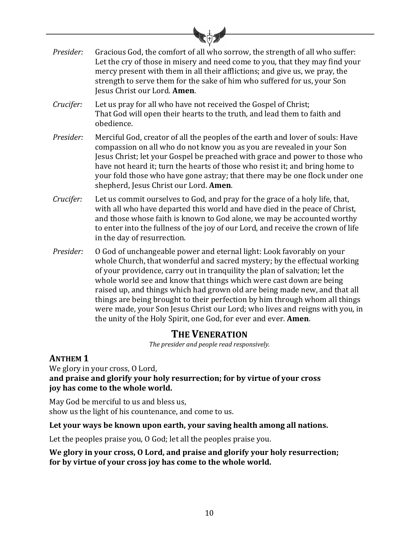| ●↓●       |                                                                                                                                                                                                                                                                                                                                                                                                                                                 |  |  |  |
|-----------|-------------------------------------------------------------------------------------------------------------------------------------------------------------------------------------------------------------------------------------------------------------------------------------------------------------------------------------------------------------------------------------------------------------------------------------------------|--|--|--|
| Presider: | Gracious God, the comfort of all who sorrow, the strength of all who suffer:<br>Let the cry of those in misery and need come to you, that they may find your<br>mercy present with them in all their afflictions; and give us, we pray, the<br>strength to serve them for the sake of him who suffered for us, your Son<br>Jesus Christ our Lord. Amen.                                                                                         |  |  |  |
| Crucifer: | Let us pray for all who have not received the Gospel of Christ;<br>That God will open their hearts to the truth, and lead them to faith and<br>obedience.                                                                                                                                                                                                                                                                                       |  |  |  |
| Presider: | Merciful God, creator of all the peoples of the earth and lover of souls: Have<br>compassion on all who do not know you as you are revealed in your Son<br>Jesus Christ; let your Gospel be preached with grace and power to those who<br>have not heard it; turn the hearts of those who resist it; and bring home to<br>your fold those who have gone astray; that there may be one flock under one<br>shepherd, Jesus Christ our Lord. Amen. |  |  |  |
| Crucifer: | Let us commit ourselves to God, and pray for the grace of a holy life, that,<br>with all who have departed this world and have died in the peace of Christ,<br>and those whose faith is known to God alone, we may be accounted worthy<br>to enter into the fullness of the joy of our Lord, and receive the crown of life<br>in the day of resurrection.                                                                                       |  |  |  |
| Presider: | O God of unchangeable power and eternal light: Look favorably on your<br>whole Church, that wonderful and sacred mystery; by the effectual working<br>of your providence, carry out in tranquility the plan of salvation; let the<br>whole world see and know that things which were cast down are being                                                                                                                                        |  |  |  |

raised up, and things which had grown old are being made new, and that all things are being brought to their perfection by him through whom all things were made, your Son Jesus Christ our Lord; who lives and reigns with you, in the unity of the Holy Spirit, one God, for ever and ever. **Amen**.

## **THE VENERATION**

The presider and people read responsively.

## **ANTHEM 1**

We glory in your cross, O Lord, and praise and glorify your holy resurrection; for by virtue of your cross joy has come to the whole world.

May God be merciful to us and bless us, show us the light of his countenance, and come to us.

Let your ways be known upon earth, your saving health among all nations.

Let the peoples praise you,  $0$  God; let all the peoples praise you.

We glory in your cross, O Lord, and praise and glorify your holy resurrection; for by virtue of your cross joy has come to the whole world.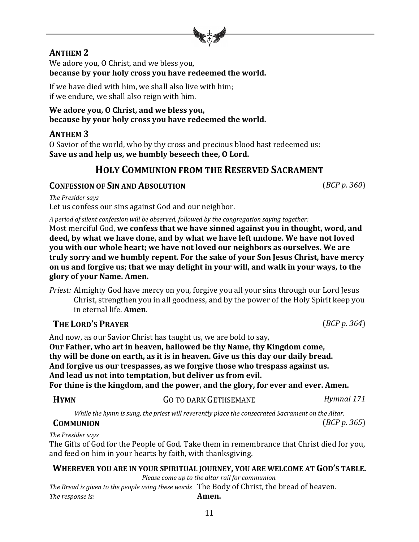#### 11

## **ANTHEM 2**

We adore you, O Christ, and we bless you, **because by your holy cross you have redeemed the world.** 

If we have died with him, we shall also live with him; if we endure, we shall also reign with him.

#### We adore you, O Christ, and we bless you, because by your holy cross you have redeemed the world.

## **ANTHEM 3**

O Savior of the world, who by thy cross and precious blood hast redeemed us: Save us and help us, we humbly beseech thee, O Lord.

## **HOLY COMMUNION FROM THE RESERVED SACRAMENT**

## **CONFESSION OF SIN AND ABSOLUTION** (*BCP p.* 360)

*The Presider says*

Let us confess our sins against God and our neighbor.

*A* period of silent confession will be observed, followed by the congregation saying together:

Most merciful God, we confess that we have sinned against you in thought, word, and deed, by what we have done, and by what we have left undone. We have not loved **you** with our whole heart; we have not loved our neighbors as ourselves. We are **truly sorry and we humbly repent. For the sake of your Son Jesus Christ, have mercy on** us and forgive us; that we may delight in your will, and walk in your ways, to the **glory of your Name. Amen.**

*Priest:* Almighty God have mercy on you, forgive you all your sins through our Lord Jesus Christ, strengthen you in all goodness, and by the power of the Holy Spirit keep you in eternal life. **Amen**.

## **THE LORD'S PRAYER** (*BCP p.* 364)

And now, as our Savior Christ has taught us, we are bold to say, **Our Father, who art in heaven, hallowed be thy Name, thy Kingdom come,** thy will be done on earth, as it is in heaven. Give us this day our daily bread. And forgive us our trespasses, as we forgive those who trespass against us. And lead us not into temptation, but deliver us from evil. For thine is the kingdom, and the power, and the glory, for ever and ever. Amen.

|  | <b>HYMN</b> | <b>GO TO DARK GETHSEMANE</b> | Hymnal 171 |
|--|-------------|------------------------------|------------|
|--|-------------|------------------------------|------------|

While the hymn is sung, the priest will reverently place the consecrated Sacrament on the Altar.

## **COMMUNION**  $(BCP p. 365)$

*The Presider says*

The Gifts of God for the People of God. Take them in remembrance that Christ died for you, and feed on him in your hearts by faith, with thanksgiving.

## WHEREVER YOU ARE IN YOUR SPIRITUAL JOURNEY, YOU ARE WELCOME AT GOD'S TABLE.

*Please come up to the altar rail for communion.* The Bread is given to the people using these words The Body of Christ, the bread of heaven. *The response is:* **Amen.**